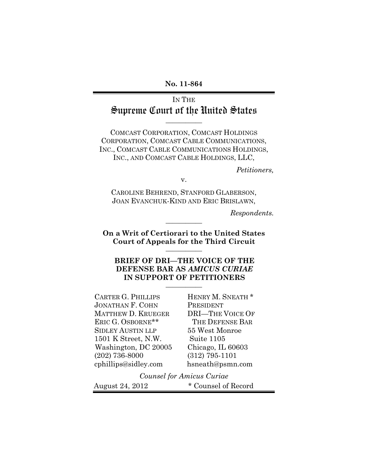**No. 11-864**

IN THE Supreme Court of the United States

**\_\_\_\_\_\_\_\_\_\_\_**

COMCAST CORPORATION, COMCAST HOLDINGS CORPORATION, COMCAST CABLE COMMUNICATIONS, INC., COMCAST CABLE COMMUNICATIONS HOLDINGS, INC., AND COMCAST CABLE HOLDINGS, LLC,

*Petitioners,*

v.

CAROLINE BEHREND, STANFORD GLABERSON, JOAN EVANCHUK-KIND AND ERIC BRISLAWN,

*Respondents.*

**On a Writ of Certiorari to the United States Court of Appeals for the Third Circuit \_\_\_\_\_\_\_\_\_\_\_**

**\_\_\_\_\_\_\_\_\_\_\_**

**BRIEF OF DRI—THE VOICE OF THE DEFENSE BAR AS** *AMICUS CURIAE* **IN SUPPORT OF PETITIONERS \_\_\_\_\_\_\_\_\_\_\_**

CARTER G. PHILLIPS JONATHAN F. COHN MATTHEW D. KRUEGER ERIC G. OSBORNE\*\* SIDLEY AUSTIN LLP 1501 K Street, N.W. Washington, DC 20005 (202) 736-8000 cphillips@sidley.com

HENRY M. SNEATH \* PRESIDENT DRI—THE VOICE OF THE DEFENSE BAR 55 West Monroe Suite 1105 Chicago, IL 60603 (312) 795-1101 hsneath@psmn.com

*Counsel for Amicus Curiae* August 24, 2012 \* Counsel of Record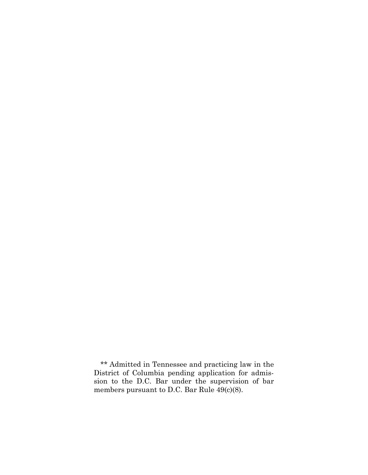\*\* Admitted in Tennessee and practicing law in the District of Columbia pending application for admission to the D.C. Bar under the supervision of bar members pursuant to D.C. Bar Rule 49(c)(8).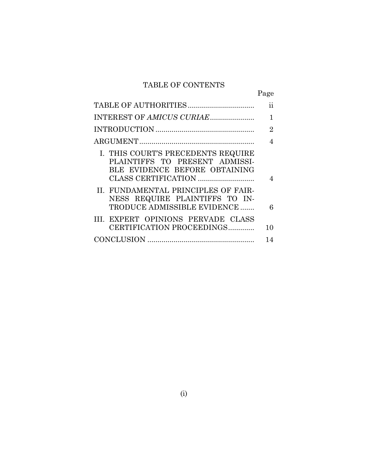## TABLE OF CONTENTS

|                                                                                                       | Page           |
|-------------------------------------------------------------------------------------------------------|----------------|
|                                                                                                       | ii             |
| INTEREST OF AMICUS CURIAE                                                                             | 1              |
|                                                                                                       | $\overline{2}$ |
|                                                                                                       | 4              |
| I. THIS COURT'S PRECEDENTS REQUIRE<br>PLAINTIFFS TO PRESENT ADMISSI-<br>BLE EVIDENCE BEFORE OBTAINING | 4              |
| II. FUNDAMENTAL PRINCIPLES OF FAIR-<br>NESS REQUIRE PLAINTIFFS TO IN-<br>TRODUCE ADMISSIBLE EVIDENCE  | 6              |
| III. EXPERT OPINIONS PERVADE CLASS<br>CERTIFICATION PROCEEDINGS                                       | 10             |
|                                                                                                       | 14             |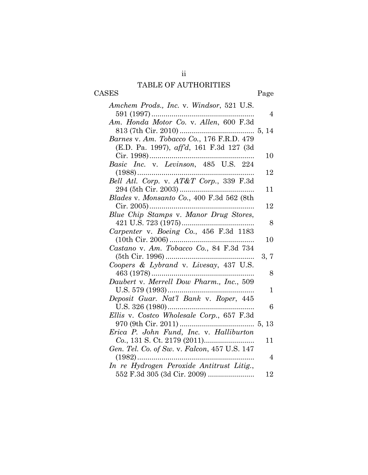## TABLE OF AUTHORITIES

CASES Page

| Amchem Prods., Inc. v. Windsor, 521 U.S.     |                |
|----------------------------------------------|----------------|
|                                              | $\overline{4}$ |
| Am. Honda Motor Co. v. Allen, 600 F.3d       |                |
|                                              |                |
| Barnes v. Am. Tobacco Co., 176 F.R.D. 479    |                |
| (E.D. Pa. 1997), aff'd, 161 F.3d 127 (3d     |                |
| Cir. 1998)                                   | 10             |
| Basic Inc. v. Levinson, 485 U.S. 224         |                |
|                                              | 12             |
| Bell Atl. Corp. v. AT&T Corp., 339 F.3d      |                |
|                                              | 11             |
| Blades v. Monsanto Co., 400 F.3d 562 (8th    |                |
|                                              | 12             |
| Blue Chip Stamps v. Manor Drug Stores,       |                |
|                                              | 8              |
| Carpenter v. Boeing Co., 456 F.3d 1183       |                |
|                                              | 10             |
| Castano v. Am. Tobacco Co., 84 F.3d 734      |                |
|                                              | 3, 7           |
| Coopers & Lybrand v. Livesay, 437 U.S.       |                |
|                                              | 8              |
| Daubert v. Merrell Dow Pharm., Inc., 509     |                |
|                                              | 1              |
| Deposit Guar. Nat'l Bank v. Roper, 445       |                |
|                                              | 6              |
| Ellis v. Costco Wholesale Corp., 657 F.3d    |                |
|                                              |                |
| Erica P. John Fund, Inc. v. Halliburton      |                |
|                                              | 11             |
| Gen. Tel. Co. of Sw. v. Falcon, 457 U.S. 147 |                |
| $(1982)$                                     | 4              |
| In re Hydrogen Peroxide Antitrust Litig.,    |                |
| 552 F.3d 305 (3d Cir. 2009)                  | 12             |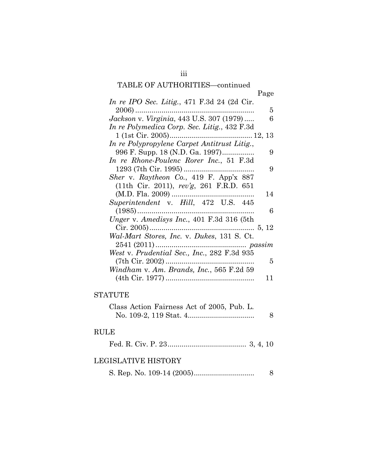## TABLE OF AUTHORITIES—continued

|                                              | Page |
|----------------------------------------------|------|
| In re IPO Sec. Litig., 471 F.3d 24 (2d Cir.  |      |
| $2006)$                                      | 5    |
| Jackson v. Virginia, 443 U.S. 307 (1979)     | 6    |
| In re Polymedica Corp. Sec. Litig., 432 F.3d |      |
|                                              |      |
| In re Polypropylene Carpet Antitrust Litig., |      |
| 996 F. Supp. 18 (N.D. Ga. 1997)              | 9    |
| In re Rhone-Poulenc Rorer Inc., 51 F.3d      |      |
|                                              | 9    |
| Sher v. Raytheon Co., 419 F. App'x 887       |      |
| (11th Cir. 2011), rev'g, 261 F.R.D. 651      |      |
|                                              | 14   |
| Superintendent v. Hill, 472 U.S. 445         |      |
|                                              | 6    |
| Unger v. Amedisys Inc., 401 F.3d 316 (5th    |      |
|                                              |      |
| Wal-Mart Stores, Inc. v. Dukes, 131 S. Ct.   |      |
|                                              |      |
| West v. Prudential Sec., Inc., 282 F.3d 935  |      |
|                                              | 5    |
| Windham v. Am. Brands, Inc., 565 F.2d 59     |      |
|                                              | 11   |

### **STATUTE**

| Class Action Fairness Act of 2005, Pub. L. |  |
|--------------------------------------------|--|
|                                            |  |

### RULE

|--|--|--|--|--|--|--|--|--|

### LEGISLATIVE HISTORY

|--|--|--|--|--|--|--|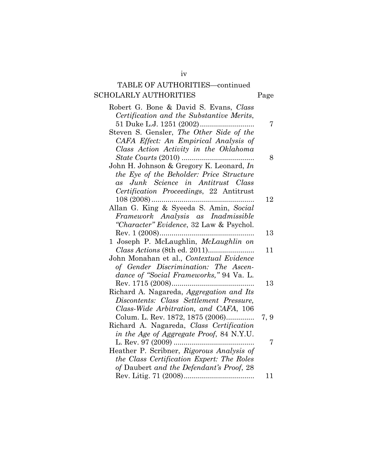# TABLE OF AUTHORITIES—continued SCHOLARLY AUTHORITIES Page

iv

| 7    |
|------|
|      |
|      |
|      |
| 8    |
|      |
|      |
|      |
|      |
| 12   |
|      |
|      |
|      |
| 13   |
|      |
| 11   |
|      |
|      |
|      |
| 13   |
|      |
|      |
|      |
| 7, 9 |
|      |
|      |
| 7    |
|      |
|      |
|      |
| 11   |
|      |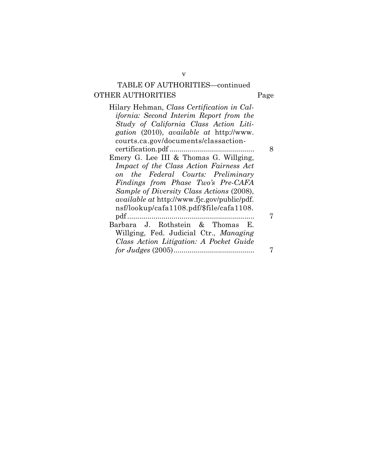# TABLE OF AUTHORITIES—continued OTHER AUTHORITIES Page

Hilary Hehman, *Class Certification in Cal-*

| in Cal- |  |
|---------|--|
| om the  |  |
|         |  |

| Study of California Class Action Liti-<br>gation (2010), available at http://www.<br>courts.ca.gov/documents/classaction-<br>8 |
|--------------------------------------------------------------------------------------------------------------------------------|
|                                                                                                                                |
|                                                                                                                                |
|                                                                                                                                |
|                                                                                                                                |
| Emery G. Lee III & Thomas G. Willging,                                                                                         |
| Impact of the Class Action Fairness Act                                                                                        |
| on the Federal Courts: Preliminary                                                                                             |
| Findings from Phase Two's Pre-CAFA                                                                                             |
| Sample of Diversity Class Actions (2008),                                                                                      |
| <i>available at http://www.fic.gov/public/pdf.</i>                                                                             |
| nsf/lookup/cafa1108.pdf/\$file/cafa1108.                                                                                       |
|                                                                                                                                |
| Barbara J. Rothstein & Thomas<br>- E.                                                                                          |
| Willging, Fed. Judicial Ctr., Managing                                                                                         |
| Class Action Litigation: A Pocket Guide                                                                                        |
|                                                                                                                                |

v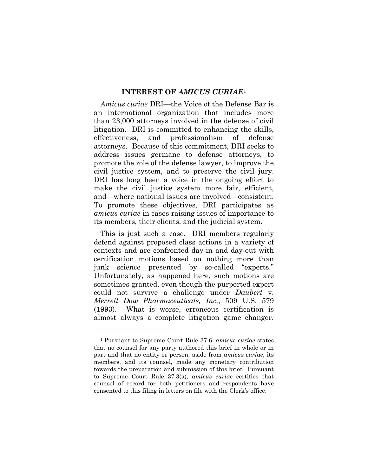#### **INTEREST OF** *AMICUS CURIAE*[1](#page-7-0)

*Amicus curiae* DRI—the Voice of the Defense Bar is an international organization that includes more than 23,000 attorneys involved in the defense of civil litigation. DRI is committed to enhancing the skills, effectiveness, and professionalism of defense attorneys. Because of this commitment, DRI seeks to address issues germane to defense attorneys, to promote the role of the defense lawyer, to improve the civil justice system, and to preserve the civil jury. DRI has long been a voice in the ongoing effort to make the civil justice system more fair, efficient, and—where national issues are involved—consistent. To promote these objectives, DRI participates as *amicus curiae* in cases raising issues of importance to its members, their clients, and the judicial system.

This is just such a case. DRI members regularly defend against proposed class actions in a variety of contexts and are confronted day-in and day-out with certification motions based on nothing more than junk science presented by so-called "experts." Unfortunately, as happened here, such motions are sometimes granted, even though the purported expert could not survive a challenge under *Daubert* v. *Merrell Dow Pharmaceuticals, Inc.*, 509 U.S. 579 (1993). What is worse, erroneous certification is almost always a complete litigation game changer.

 $\overline{a}$ 

<span id="page-7-0"></span><sup>1</sup> Pursuant to Supreme Court Rule 37.6, *amicus curiae* states that no counsel for any party authored this brief in whole or in part and that no entity or person, aside from *amicus curiae*, its members, and its counsel, made any monetary contribution towards the preparation and submission of this brief. Pursuant to Supreme Court Rule 37.3(a), *amicus curiae* certifies that counsel of record for both petitioners and respondents have consented to this filing in letters on file with the Clerk's office.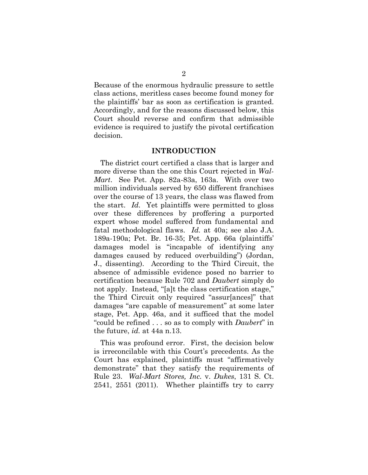Because of the enormous hydraulic pressure to settle class actions, meritless cases become found money for the plaintiffs' bar as soon as certification is granted. Accordingly, and for the reasons discussed below, this Court should reverse and confirm that admissible evidence is required to justify the pivotal certification decision.

#### **INTRODUCTION**

The district court certified a class that is larger and more diverse than the one this Court rejected in *Wal-Mart*. See Pet. App. 82a-83a, 163a.With over two million individuals served by 650 different franchises over the course of 13 years, the class was flawed from the start. *Id.* Yet plaintiffs were permitted to gloss over these differences by proffering a purported expert whose model suffered from fundamental and fatal methodological flaws. *Id.* at 40a; see also J.A. 189a-190a; Pet. Br. 16-35; Pet. App. 66a (plaintiffs' damages model is "incapable of identifying any damages caused by reduced overbuilding") (Jordan, J., dissenting). According to the Third Circuit, the absence of admissible evidence posed no barrier to certification because Rule 702 and *Daubert* simply do not apply. Instead, "[a]t the class certification stage," the Third Circuit only required "assur[ances]" that damages "are capable of measurement" at some later stage, Pet. App. 46a, and it sufficed that the model "could be refined . . . so as to comply with *Daubert*" in the future, *id.* at 44a n.13.

This was profound error. First, the decision below is irreconcilable with this Court's precedents. As the Court has explained, plaintiffs must "affirmatively demonstrate" that they satisfy the requirements of Rule 23. *Wal-Mart Stores, Inc.* v. *Dukes*, 131 S. Ct. 2541, 2551 (2011). Whether plaintiffs try to carry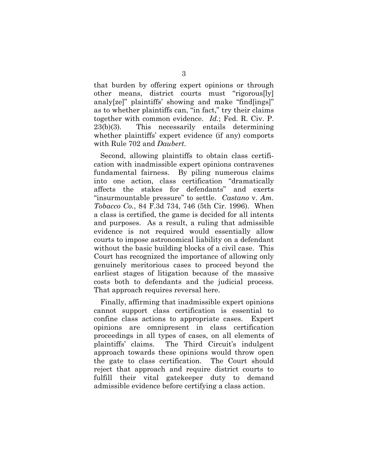that burden by offering expert opinions or through other means, district courts must "rigorous[ly] analy[ze]" plaintiffs' showing and make "find[ings]" as to whether plaintiffs can, "in fact," try their claims together with common evidence. *Id.*; Fed. R. Civ. P. 23(b)(3). This necessarily entails determining whether plaintiffs' expert evidence (if any) comports with Rule 702 and *Daubert*.

Second, allowing plaintiffs to obtain class certification with inadmissible expert opinions contravenes fundamental fairness. By piling numerous claims into one action, class certification "dramatically affects the stakes for defendants" and exerts "insurmountable pressure" to settle. *Castano* v. *Am. Tobacco Co.*, 84 F.3d 734, 746 (5th Cir. 1996). When a class is certified, the game is decided for all intents and purposes. As a result, a ruling that admissible evidence is not required would essentially allow courts to impose astronomical liability on a defendant without the basic building blocks of a civil case. This Court has recognized the importance of allowing only genuinely meritorious cases to proceed beyond the earliest stages of litigation because of the massive costs both to defendants and the judicial process. That approach requires reversal here.

Finally, affirming that inadmissible expert opinions cannot support class certification is essential to confine class actions to appropriate cases. Expert opinions are omnipresent in class certification proceedings in all types of cases, on all elements of plaintiffs' claims. The Third Circuit's indulgent approach towards these opinions would throw open the gate to class certification. The Court should reject that approach and require district courts to fulfill their vital gatekeeper duty to demand admissible evidence before certifying a class action.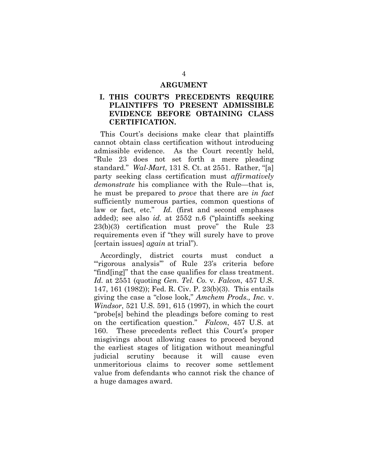#### **ARGUMENT**

### **I. THIS COURT'S PRECEDENTS REQUIRE PLAINTIFFS TO PRESENT ADMISSIBLE EVIDENCE BEFORE OBTAINING CLASS CERTIFICATION.**

This Court's decisions make clear that plaintiffs cannot obtain class certification without introducing admissible evidence. As the Court recently held, "Rule 23 does not set forth a mere pleading standard." *Wal-Mart*, 131 S. Ct. at 2551. Rather, "[a] party seeking class certification must *affirmatively demonstrate* his compliance with the Rule—that is, he must be prepared to *prove* that there are *in fact*  sufficiently numerous parties, common questions of law or fact, etc." *Id.* (first and second emphases added); see also *id.* at 2552 n.6 ("plaintiffs seeking 23(b)(3) certification must prove" the Rule 23 requirements even if "they will surely have to prove [certain issues] *again* at trial").

Accordingly, district courts must conduct a "rigorous analysis" of Rule 23's criteria before "find[ing]" that the case qualifies for class treatment. *Id.* at 2551 (quoting *Gen. Tel. Co.* v. *Falcon*, 457 U.S. 147, 161 (1982)); Fed. R. Civ. P. 23(b)(3). This entails giving the case a "close look," *Amchem Prods., Inc.* v. *Windsor*, 521 U.S. 591, 615 (1997), in which the court "probe[s] behind the pleadings before coming to rest on the certification question." *Falcon*, 457 U.S. at 160. These precedents reflect this Court's proper misgivings about allowing cases to proceed beyond the earliest stages of litigation without meaningful judicial scrutiny because it will cause even unmeritorious claims to recover some settlement value from defendants who cannot risk the chance of a huge damages award.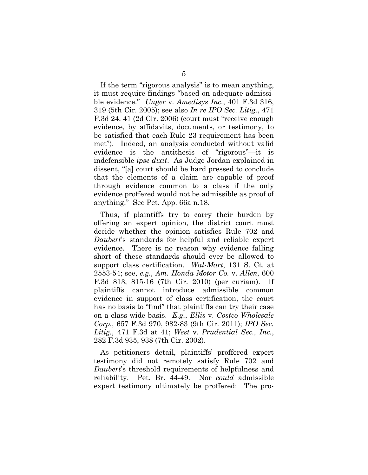If the term "rigorous analysis" is to mean anything, it must require findings "based on adequate admissible evidence." *Unger* v. *Amedisys Inc.*, 401 F.3d 316, 319 (5th Cir. 2005); see also *In re IPO Sec. Litig.*, 471 F.3d 24, 41 (2d Cir. 2006) (court must "receive enough evidence, by affidavits, documents, or testimony, to be satisfied that each Rule 23 requirement has been met"). Indeed, an analysis conducted without valid evidence is the antithesis of "rigorous"—it is indefensible *ipse dixit*. As Judge Jordan explained in dissent, "[a] court should be hard pressed to conclude that the elements of a claim are capable of proof through evidence common to a class if the only evidence proffered would not be admissible as proof of anything." See Pet. App. 66a n.18.

Thus, if plaintiffs try to carry their burden by offering an expert opinion, the district court must decide whether the opinion satisfies Rule 702 and *Daubert*'s standards for helpful and reliable expert evidence. There is no reason why evidence falling short of these standards should ever be allowed to support class certification. *Wal-Mart*, 131 S. Ct. at 2553-54; see, *e.g.*, *Am. Honda Motor Co.* v. *Allen*, 600 F.3d 813, 815-16 (7th Cir. 2010) (per curiam). If plaintiffs cannot introduce admissible common evidence in support of class certification, the court has no basis to "find" that plaintiffs can try their case on a class-wide basis. *E.g.*, *Ellis* v. *Costco Wholesale Corp.*, 657 F.3d 970, 982-83 (9th Cir. 2011); *IPO Sec. Litig.*, 471 F.3d at 41; *West* v. *Prudential Sec., Inc.*, 282 F.3d 935, 938 (7th Cir. 2002).

As petitioners detail, plaintiffs' proffered expert testimony did not remotely satisfy Rule 702 and *Daubert*'s threshold requirements of helpfulness and reliability. Pet. Br. 44-49. Nor *could* admissible expert testimony ultimately be proffered: The pro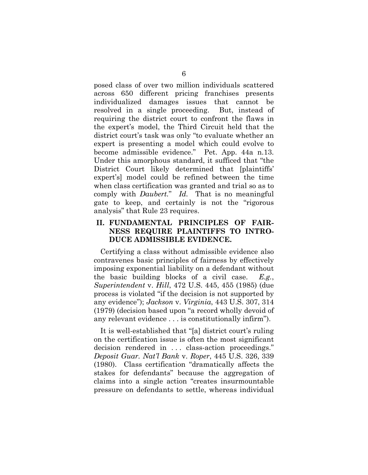posed class of over two million individuals scattered across 650 different pricing franchises presents individualized damages issues that cannot be resolved in a single proceeding. But, instead of requiring the district court to confront the flaws in the expert's model, the Third Circuit held that the district court's task was only "to evaluate whether an expert is presenting a model which could evolve to become admissible evidence." Pet. App. 44a n.13. Under this amorphous standard, it sufficed that "the District Court likely determined that [plaintiffs' expert's] model could be refined between the time when class certification was granted and trial so as to comply with *Daubert.*" *Id.* That is no meaningful gate to keep, and certainly is not the "rigorous analysis" that Rule 23 requires.

### **II. FUNDAMENTAL PRINCIPLES OF FAIR-NESS REQUIRE PLAINTIFFS TO INTRO-DUCE ADMISSIBLE EVIDENCE.**

Certifying a class without admissible evidence also contravenes basic principles of fairness by effectively imposing exponential liability on a defendant without the basic building blocks of a civil case. *E.g.*, *Superintendent* v. *Hill*, 472 U.S. 445, 455 (1985) (due process is violated "if the decision is not supported by any evidence"); *Jackson* v. *Virginia*, 443 U.S. 307, 314 (1979) (decision based upon "a record wholly devoid of any relevant evidence . . . is constitutionally infirm").

It is well-established that "[a] district court's ruling on the certification issue is often the most significant decision rendered in ... class-action proceedings." *Deposit Guar. Nat'l Bank* v. *Roper*, 445 U.S. 326, 339 (1980). Class certification "dramatically affects the stakes for defendants" because the aggregation of claims into a single action "creates insurmountable pressure on defendants to settle, whereas individual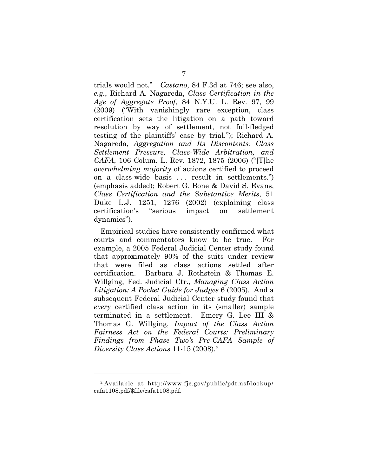trials would not." *Castano*, 84 F.3d at 746; see also, *e.g.*, Richard A. Nagareda, *Class Certification in the Age of Aggregate Proof*, 84 N.Y.U. L. Rev. 97, 99 (2009) ("With vanishingly rare exception, class certification sets the litigation on a path toward resolution by way of settlement, not full-fledged testing of the plaintiffs' case by trial."); Richard A. Nagareda, *Aggregation and Its Discontents: Class Settlement Pressure, Class-Wide Arbitration, and CAFA*, 106 Colum. L. Rev. 1872, 1875 (2006) ("[T]he *overwhelming majority* of actions certified to proceed on a class-wide basis . . . result in settlements.") (emphasis added); Robert G. Bone & David S. Evans, *Class Certification and the Substantive Merits*, 51 Duke L.J. 1251, 1276 (2002) (explaining class certification's "serious impact on settlement dynamics").

Empirical studies have consistently confirmed what courts and commentators know to be true. For example, a 2005 Federal Judicial Center study found that approximately 90% of the suits under review that were filed as class actions settled after certification. Barbara J. Rothstein & Thomas E. Willging, Fed. Judicial Ctr., *Managing Class Action Litigation: A Pocket Guide for Judges* 6 (2005). And a subsequent Federal Judicial Center study found that *every* certified class action in its (smaller) sample terminated in a settlement. Emery G. Lee III & Thomas G. Willging, *Impact of the Class Action Fairness Act on the Federal Courts: Preliminary Findings from Phase Two's Pre-CAFA Sample of Diversity Class Actions* 11-15 (2008)[.2](#page-13-0)

 $\overline{a}$ 

<span id="page-13-0"></span><sup>2</sup> Available at http://www.fjc.gov/public/pdf.nsf/lookup/ cafa1108.pdf/\$file/cafa1108.pdf.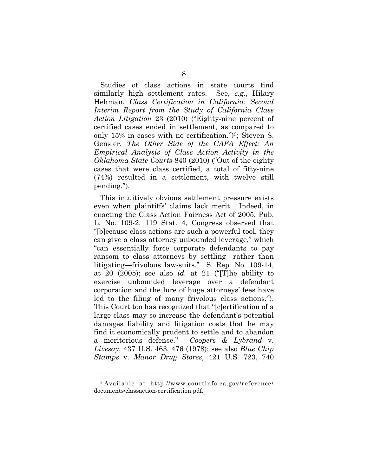Studies of class actions in state courts find similarly high settlement rates. See, *e.g.*, Hilary Hehman, *Class Certification in California: Second Interim Report from the Study of California Class Action Litigation* 23 (2010) ("Eighty-nine percent of certified cases ended in settlement, as compared to only 15% in cases with no certification.")<sup>[3](#page-14-0)</sup>; Steven S. Gensler, *The Other Side of the CAFA Effect: An Empirical Analysis of Class Action Activity in the Oklahoma State Courts* 840 (2010) ("Out of the eighty cases that were class certified, a total of fifty-nine (74%) resulted in a settlement, with twelve still pending.").

This intuitively obvious settlement pressure exists even when plaintiffs' claims lack merit. Indeed, in enacting the Class Action Fairness Act of 2005, Pub. L. No. 109-2, 119 Stat. 4, Congress observed that "[b]ecause class actions are such a powerful tool, they can give a class attorney unbounded leverage," which "can essentially force corporate defendants to pay ransom to class attorneys by settling—rather than litigating—frivolous law-suits." S. Rep. No. 109-14, at 20 (2005); see also *id.* at 21 ("[T]he ability to exercise unbounded leverage over a defendant corporation and the lure of huge attorneys' fees have led to the filing of many frivolous class actions."). This Court too has recognized that "[c]ertification of a large class may so increase the defendant's potential damages liability and litigation costs that he may find it economically prudent to settle and to abandon a meritorious defense." *Coopers & Lybrand* v. *Livesay*, 437 U.S. 463, 476 (1978); see also *Blue Chip Stamps* v. *Manor Drug Stores*, 421 U.S. 723, 740

 $\overline{a}$ 

<span id="page-14-0"></span><sup>3</sup> Available at http://www.courtinfo.ca.gov/reference/ documents/classaction-certification.pdf.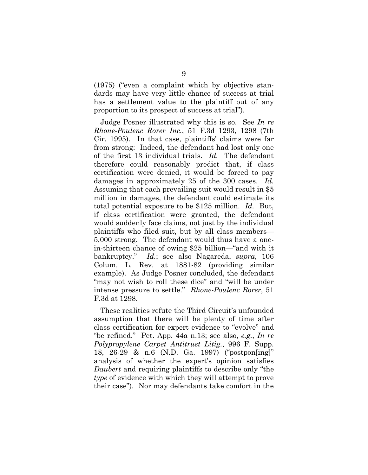(1975) ("even a complaint which by objective standards may have very little chance of success at trial has a settlement value to the plaintiff out of any proportion to its prospect of success at trial").

Judge Posner illustrated why this is so. See *In re Rhone-Poulenc Rorer Inc.*, 51 F.3d 1293, 1298 (7th Cir. 1995). In that case, plaintiffs' claims were far from strong: Indeed, the defendant had lost only one of the first 13 individual trials. *Id.* The defendant therefore could reasonably predict that, if class certification were denied, it would be forced to pay damages in approximately 25 of the 300 cases. *Id.* Assuming that each prevailing suit would result in \$5 million in damages, the defendant could estimate its total potential exposure to be \$125 million. *Id.* But, if class certification were granted, the defendant would suddenly face claims, not just by the individual plaintiffs who filed suit, but by all class members— 5,000 strong. The defendant would thus have a onein-thirteen chance of owing \$25 billion—"and with it bankruptcy." *Id.*; see also Nagareda, *supra*, 106 Colum. L. Rev. at 1881-82 (providing similar example). As Judge Posner concluded, the defendant "may not wish to roll these dice" and "will be under intense pressure to settle." *Rhone-Poulenc Rorer*, 51 F.3d at 1298.

These realities refute the Third Circuit's unfounded assumption that there will be plenty of time after class certification for expert evidence to "evolve" and "be refined." Pet. App. 44a n.13; see also, *e.g.*, *In re Polypropylene Carpet Antitrust Litig.*, 996 F. Supp. 18, 26-29 & n.6 (N.D. Ga. 1997) ("postpon[ing]" analysis of whether the expert's opinion satisfies *Daubert* and requiring plaintiffs to describe only "the *type* of evidence with which they will attempt to prove their case"). Nor may defendants take comfort in the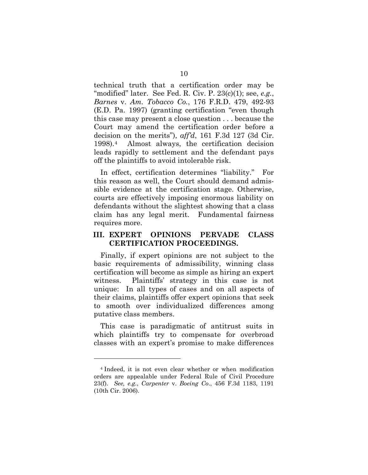technical truth that a certification order may be "modified" later. See Fed. R. Civ. P. 23(c)(1); see, *e.g.*, *Barnes* v. *Am. Tobacco Co.*, 176 F.R.D. 479, 492-93 (E.D. Pa. 1997) (granting certification "even though this case may present a close question . . . because the Court may amend the certification order before a decision on the merits"), *aff'd*, 161 F.3d 127 (3d Cir. 1998).[4](#page-16-0) Almost always, the certification decision leads rapidly to settlement and the defendant pays off the plaintiffs to avoid intolerable risk.

In effect, certification determines "liability." For this reason as well, the Court should demand admissible evidence at the certification stage. Otherwise, courts are effectively imposing enormous liability on defendants without the slightest showing that a class claim has any legal merit. Fundamental fairness requires more.

#### **III. EXPERT OPINIONS PERVADE CLASS CERTIFICATION PROCEEDINGS.**

Finally, if expert opinions are not subject to the basic requirements of admissibility, winning class certification will become as simple as hiring an expert witness. Plaintiffs' strategy in this case is not unique: In all types of cases and on all aspects of their claims, plaintiffs offer expert opinions that seek to smooth over individualized differences among putative class members.

This case is paradigmatic of antitrust suits in which plaintiffs try to compensate for overbroad classes with an expert's promise to make differences

 $\overline{a}$ 

<span id="page-16-0"></span><sup>4</sup> Indeed, it is not even clear whether or when modification orders are appealable under Federal Rule of Civil Procedure 23(f). *See, e.g.*, *Carpenter* v. *Boeing Co*., 456 F.3d 1183, 1191 (10th Cir. 2006).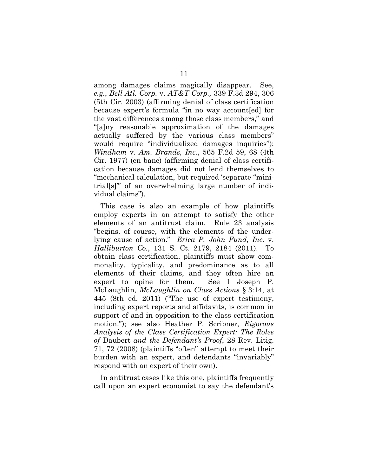among damages claims magically disappear. See, *e.g.*, *Bell Atl. Corp.* v. *AT&T Corp.,* 339 F.3d 294, 306 (5th Cir. 2003) (affirming denial of class certification because expert's formula "in no way account[ed] for the vast differences among those class members," and "[a]ny reasonable approximation of the damages actually suffered by the various class members" would require "individualized damages inquiries"); *Windham* v. *Am. Brands, Inc.*, 565 F.2d 59, 68 (4th Cir. 1977) (en banc) (affirming denial of class certification because damages did not lend themselves to "mechanical calculation, but required 'separate "minitrial[s]'" of an overwhelming large number of individual claims").

This case is also an example of how plaintiffs employ experts in an attempt to satisfy the other elements of an antitrust claim. Rule 23 analysis "begins, of course, with the elements of the underlying cause of action." *Erica P. John Fund, Inc.* v. *Halliburton Co.*, 131 S. Ct. 2179, 2184 (2011). To obtain class certification, plaintiffs must show commonality, typicality, and predominance as to all elements of their claims, and they often hire an expert to opine for them. See 1 Joseph P. McLaughlin, *McLaughlin on Class Actions* § 3:14, at 445 (8th ed. 2011) ("The use of expert testimony, including expert reports and affidavits, is common in support of and in opposition to the class certification motion."); see also Heather P. Scribner, *Rigorous Analysis of the Class Certification Expert: The Roles of* Daubert *and the Defendant's Proof*, 28 Rev. Litig. 71, 72 (2008) (plaintiffs "often" attempt to meet their burden with an expert, and defendants "invariably" respond with an expert of their own).

In antitrust cases like this one, plaintiffs frequently call upon an expert economist to say the defendant's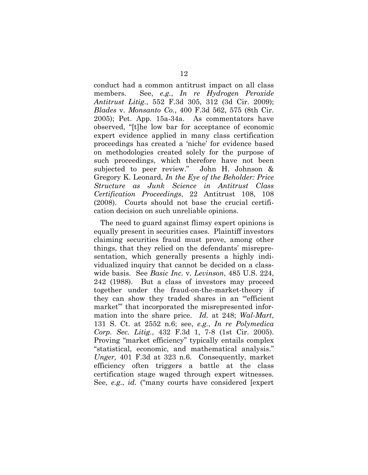conduct had a common antitrust impact on all class members. See, *e.g.*, *In re Hydrogen Peroxide Antitrust Litig.*, 552 F.3d 305, 312 (3d Cir. 2009); *Blades* v. *Monsanto Co.*, 400 F.3d 562, 575 (8th Cir. 2005); Pet. App. 15a-34a. As commentators have observed, "[t]he low bar for acceptance of economic expert evidence applied in many class certification proceedings has created a 'niche' for evidence based on methodologies created solely for the purpose of such proceedings, which therefore have not been subjected to peer review." John H. Johnson & Gregory K. Leonard, *In the Eye of the Beholder: Price Structure as Junk Science in Antitrust Class Certification Proceedings*, 22 Antitrust 108, 108 (2008). Courts should not base the crucial certification decision on such unreliable opinions.

The need to guard against flimsy expert opinions is equally present in securities cases. Plaintiff investors claiming securities fraud must prove, among other things, that they relied on the defendants' misrepresentation, which generally presents a highly individualized inquiry that cannot be decided on a classwide basis. See *Basic Inc.* v. *Levinson*, 485 U.S. 224, 242 (1988). But a class of investors may proceed together under the fraud-on-the-market-theory if they can show they traded shares in an "'efficient market'" that incorporated the misrepresented information into the share price. *Id.* at 248; *Wal-Mart*, 131 S. Ct. at 2552 n.6; see, *e.g.*, *In re Polymedica Corp. Sec. Litig.*, 432 F.3d 1, 7-8 (1st Cir. 2005). Proving "market efficiency" typically entails complex "statistical, economic, and mathematical analysis." *Unger,* 401 F.3d at 323 n.6. Consequently, market efficiency often triggers a battle at the class certification stage waged through expert witnesses. See, *e.g.*, *id.* ("many courts have considered [expert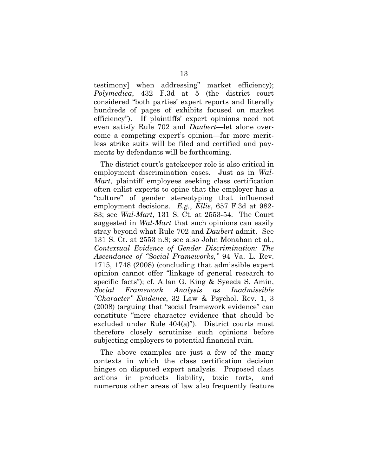testimony] when addressing" market efficiency); *Polymedica*, 432 F.3d at 5 (the district court considered "both parties' expert reports and literally hundreds of pages of exhibits focused on market efficiency"). If plaintiffs' expert opinions need not even satisfy Rule 702 and *Daubert*—let alone overcome a competing expert's opinion—far more meritless strike suits will be filed and certified and payments by defendants will be forthcoming.

The district court's gatekeeper role is also critical in employment discrimination cases. Just as in *Wal-Mart*, plaintiff employees seeking class certification often enlist experts to opine that the employer has a "culture" of gender stereotyping that influenced employment decisions. *E.g.*, *Ellis*, 657 F.3d at 982- 83; see *Wal-Mart*, 131 S. Ct. at 2553-54. The Court suggested in *Wal-Mart* that such opinions can easily stray beyond what Rule 702 and *Daubert* admit. See 131 S. Ct. at 2553 n.8; see also John Monahan et al., *Contextual Evidence of Gender Discrimination: The Ascendance of "Social Frameworks,"* 94 Va. L. Rev. 1715, 1748 (2008) (concluding that admissible expert opinion cannot offer "linkage of general research to specific facts"); cf. Allan G. King & Syeeda S. Amin, *Social Framework Analysis as Inadmissible "Character" Evidence*, 32 Law & Psychol. Rev. 1, 3 (2008) (arguing that "social framework evidence" can constitute "mere character evidence that should be excluded under Rule 404(a)"). District courts must therefore closely scrutinize such opinions before subjecting employers to potential financial ruin.

The above examples are just a few of the many contexts in which the class certification decision hinges on disputed expert analysis. Proposed class actions in products liability, toxic torts, and numerous other areas of law also frequently feature